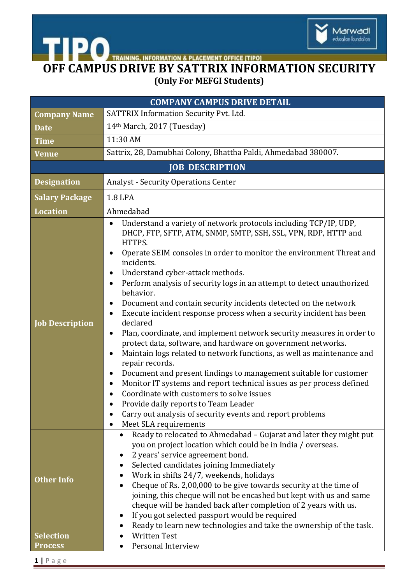

**ACEMENT OFFICE [TIPO]** 

## **OFF CAMPUS DRIVE BY SATTRIX INFORMATION SECURITY (Only For MEFGI Students)**

| <b>COMPANY CAMPUS DRIVE DETAIL</b> |                                                                                                                                                                                                                                                                                                                                                                                                                                                                                                                                                                                                                                                                                                                                                                                                                                                                                                                                                                                                                                                                                                                                                                                                 |  |
|------------------------------------|-------------------------------------------------------------------------------------------------------------------------------------------------------------------------------------------------------------------------------------------------------------------------------------------------------------------------------------------------------------------------------------------------------------------------------------------------------------------------------------------------------------------------------------------------------------------------------------------------------------------------------------------------------------------------------------------------------------------------------------------------------------------------------------------------------------------------------------------------------------------------------------------------------------------------------------------------------------------------------------------------------------------------------------------------------------------------------------------------------------------------------------------------------------------------------------------------|--|
| <b>Company Name</b>                | SATTRIX Information Security Pvt. Ltd.                                                                                                                                                                                                                                                                                                                                                                                                                                                                                                                                                                                                                                                                                                                                                                                                                                                                                                                                                                                                                                                                                                                                                          |  |
| <b>Date</b>                        | 14th March, 2017 (Tuesday)                                                                                                                                                                                                                                                                                                                                                                                                                                                                                                                                                                                                                                                                                                                                                                                                                                                                                                                                                                                                                                                                                                                                                                      |  |
| <b>Time</b>                        | 11:30 AM                                                                                                                                                                                                                                                                                                                                                                                                                                                                                                                                                                                                                                                                                                                                                                                                                                                                                                                                                                                                                                                                                                                                                                                        |  |
| Venue                              | Sattrix, 28, Damubhai Colony, Bhattha Paldi, Ahmedabad 380007.                                                                                                                                                                                                                                                                                                                                                                                                                                                                                                                                                                                                                                                                                                                                                                                                                                                                                                                                                                                                                                                                                                                                  |  |
| <b>JOB DESCRIPTION</b>             |                                                                                                                                                                                                                                                                                                                                                                                                                                                                                                                                                                                                                                                                                                                                                                                                                                                                                                                                                                                                                                                                                                                                                                                                 |  |
| <b>Designation</b>                 | <b>Analyst - Security Operations Center</b>                                                                                                                                                                                                                                                                                                                                                                                                                                                                                                                                                                                                                                                                                                                                                                                                                                                                                                                                                                                                                                                                                                                                                     |  |
| <b>Salary Package</b>              | <b>1.8 LPA</b>                                                                                                                                                                                                                                                                                                                                                                                                                                                                                                                                                                                                                                                                                                                                                                                                                                                                                                                                                                                                                                                                                                                                                                                  |  |
| <b>Location</b>                    | Ahmedabad                                                                                                                                                                                                                                                                                                                                                                                                                                                                                                                                                                                                                                                                                                                                                                                                                                                                                                                                                                                                                                                                                                                                                                                       |  |
| <b>Job Description</b>             | Understand a variety of network protocols including TCP/IP, UDP,<br>DHCP, FTP, SFTP, ATM, SNMP, SMTP, SSH, SSL, VPN, RDP, HTTP and<br>HTTPS.<br>Operate SEIM consoles in order to monitor the environment Threat and<br>٠<br>incidents.<br>Understand cyber-attack methods.<br>Perform analysis of security logs in an attempt to detect unauthorized<br>$\bullet$<br>behavior.<br>Document and contain security incidents detected on the network<br>$\bullet$<br>Execute incident response process when a security incident has been<br>$\bullet$<br>declared<br>Plan, coordinate, and implement network security measures in order to<br>$\bullet$<br>protect data, software, and hardware on government networks.<br>Maintain logs related to network functions, as well as maintenance and<br>$\bullet$<br>repair records.<br>Document and present findings to management suitable for customer<br>$\bullet$<br>Monitor IT systems and report technical issues as per process defined<br>$\bullet$<br>Coordinate with customers to solve issues<br>Provide daily reports to Team Leader<br>Carry out analysis of security events and report problems<br>Meet SLA requirements<br>$\bullet$ |  |
| <b>Other Info</b>                  | Ready to relocated to Ahmedabad - Gujarat and later they might put<br>you on project location which could be in India / overseas.<br>2 years' service agreement bond.<br>Selected candidates joining Immediately<br>٠<br>Work in shifts 24/7, weekends, holidays<br>Cheque of Rs. 2,00,000 to be give towards security at the time of<br>joining, this cheque will not be encashed but kept with us and same<br>cheque will be handed back after completion of 2 years with us.<br>If you got selected passport would be required<br>٠<br>Ready to learn new technologies and take the ownership of the task.                                                                                                                                                                                                                                                                                                                                                                                                                                                                                                                                                                                   |  |
| <b>Selection</b>                   | <b>Written Test</b><br>$\bullet$                                                                                                                                                                                                                                                                                                                                                                                                                                                                                                                                                                                                                                                                                                                                                                                                                                                                                                                                                                                                                                                                                                                                                                |  |
| Process                            | Personal Interview                                                                                                                                                                                                                                                                                                                                                                                                                                                                                                                                                                                                                                                                                                                                                                                                                                                                                                                                                                                                                                                                                                                                                                              |  |